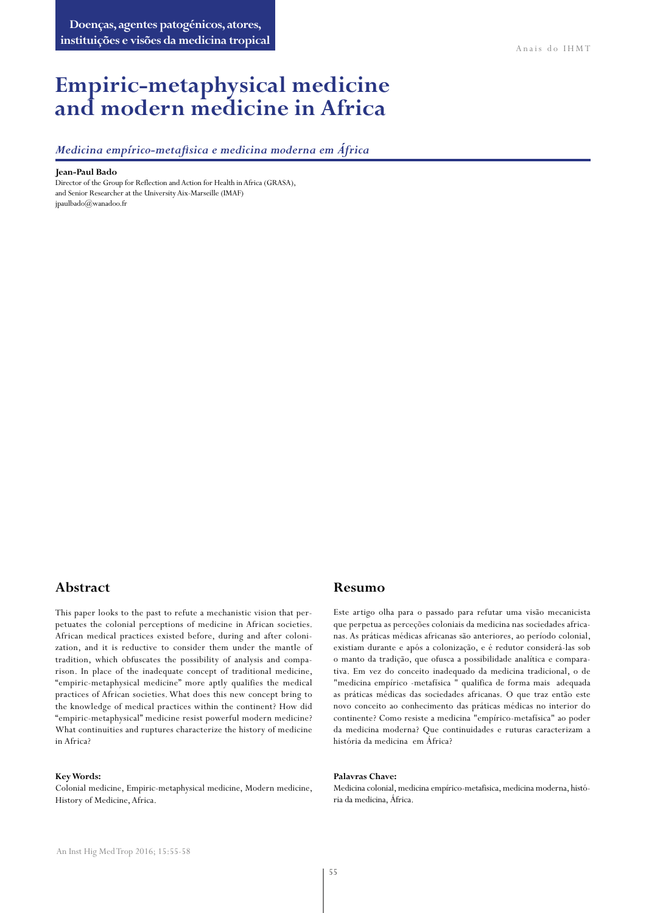# **Empiric-metaphysical medicine and modern medicine in Africa**

*Medicina empírico-metafisica e medicina moderna em África*

#### **Jean-Paul Bado**

Director of the Group for Reflection and Action for Health in Africa (GRASA), and Senior Researcher at the University Aix-Marseille (IMAF) [jpaulbado@wanadoo.fr](mailto:jpaulbado@wanadoo.fr)

### **Abstract**

This paper looks to the past to refute a mechanistic vision that perpetuates the colonial perceptions of medicine in African societies. African medical practices existed before, during and after colonization, and it is reductive to consider them under the mantle of tradition, which obfuscates the possibility of analysis and comparison. In place of the inadequate concept of traditional medicine, "empiric-metaphysical medicine" more aptly qualifies the medical practices of African societies. What does this new concept bring to the knowledge of medical practices within the continent? How did "empiric-metaphysical" medicine resist powerful modern medicine? What continuities and ruptures characterize the history of medicine in Africa?

#### **Key Words:**

Colonial medicine, Empiric-metaphysical medicine, Modern medicine, History of Medicine, Africa.

#### **Resumo**

Este artigo olha para o passado para refutar uma visão mecanicista que perpetua as perceções coloniais da medicina nas sociedades africanas. As práticas médicas africanas são anteriores, ao período colonial, existiam durante e após a colonização, e é redutor considerá-las sob o manto da tradição, que ofusca a possibilidade analítica e comparativa. Em vez do conceito inadequado da medicina tradicional, o de "medicina empírico -metafísica " qualifica de forma mais adequada as práticas médicas das sociedades africanas. O que traz então este novo conceito ao conhecimento das práticas médicas no interior do continente? Como resiste a medicina "empírico-metafísica" ao poder da medicina moderna? Que continuidades e ruturas caracterizam a história da medicina em África?

#### **Palavras Chave:**

Medicina colonial, medicina empírico-metafisica, medicina moderna, história da medicina, África.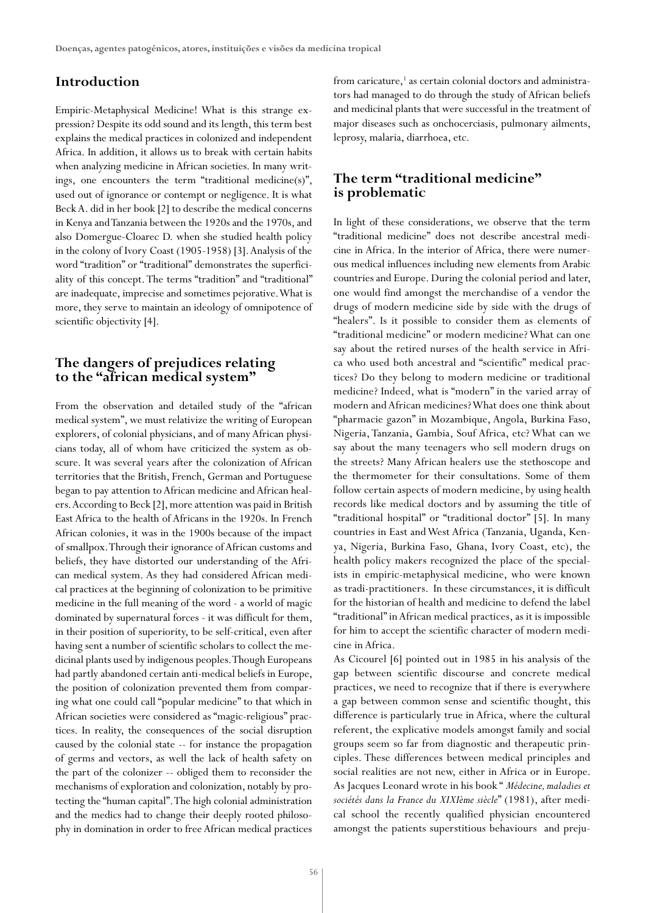#### **Introduction**

Empiric-Metaphysical Medicine! What is this strange expression? Despite its odd sound and its length, this term best explains the medical practices in colonized and independent Africa. In addition, it allows us to break with certain habits when analyzing medicine in African societies. In many writings, one encounters the term "traditional medicine(s)", used out of ignorance or contempt or negligence. It is what Beck A. did in her book [2] to describe the medical concerns in Kenya and Tanzania between the 1920s and the 1970s, and also Domergue-Cloarec D. when she studied health policy in the colony of Ivory Coast (1905-1958) [3]. Analysis of the word "tradition" or "traditional" demonstrates the superficiality of this concept. The terms "tradition" and "traditional" are inadequate, imprecise and sometimes pejorative. What is more, they serve to maintain an ideology of omnipotence of scientific objectivity [4].

### **The dangers of prejudices relating to the "african medical system"**

From the observation and detailed study of the "african medical system", we must relativize the writing of European explorers, of colonial physicians, and of many African physicians today, all of whom have criticized the system as obscure. It was several years after the colonization of African territories that the British, French, German and Portuguese began to pay attention to African medicine and African healers. According to Beck [2], more attention was paid in British East Africa to the health of Africans in the 1920s. In French African colonies, it was in the 1900s because of the impact of smallpox. Through their ignorance of African customs and beliefs, they have distorted our understanding of the African medical system. As they had considered African medical practices at the beginning of colonization to be primitive medicine in the full meaning of the word - a world of magic dominated by supernatural forces - it was difficult for them, in their position of superiority, to be self-critical, even after having sent a number of scientific scholars to collect the medicinal plants used by indigenous peoples. Though Europeans had partly abandoned certain anti-medical beliefs in Europe, the position of colonization prevented them from comparing what one could call "popular medicine" to that which in African societies were considered as "magic-religious" practices. In reality, the consequences of the social disruption caused by the colonial state -- for instance the propagation of germs and vectors, as well the lack of health safety on the part of the colonizer -- obliged them to reconsider the mechanisms of exploration and colonization, notably by protecting the "human capital". The high colonial administration and the medics had to change their deeply rooted philosophy in domination in order to free African medical practices from caricature,<sup>1</sup> as certain colonial doctors and administrators had managed to do through the study of African beliefs and medicinal plants that were successful in the treatment of major diseases such as onchocerciasis, pulmonary ailments, leprosy, malaria, diarrhoea, etc.

## **The term "traditional medicine" is problematic**

In light of these considerations, we observe that the term "traditional medicine" does not describe ancestral medicine in Africa. In the interior of Africa, there were numerous medical influences including new elements from Arabic countries and Europe. During the colonial period and later, one would find amongst the merchandise of a vendor the drugs of modern medicine side by side with the drugs of "healers". Is it possible to consider them as elements of "traditional medicine" or modern medicine? What can one say about the retired nurses of the health service in Africa who used both ancestral and "scientific" medical practices? Do they belong to modern medicine or traditional medicine? Indeed, what is "modern" in the varied array of modern and African medicines? What does one think about "pharmacie gazon" in Mozambique, Angola, Burkina Faso, Nigeria, Tanzania, Gambia, Souf Africa, etc? What can we say about the many teenagers who sell modern drugs on the streets? Many African healers use the stethoscope and the thermometer for their consultations. Some of them follow certain aspects of modern medicine, by using health records like medical doctors and by assuming the title of "traditional hospital" or "traditional doctor" [5]. In many countries in East and West Africa (Tanzania, Uganda, Kenya, Nigeria, Burkina Faso, Ghana, Ivory Coast, etc), the health policy makers recognized the place of the specialists in empiric-metaphysical medicine, who were known as tradi-practitioners. In these circumstances, it is difficult for the historian of health and medicine to defend the label "traditional" in African medical practices, as it is impossible for him to accept the scientific character of modern medicine in Africa.

As Cicourel [6] pointed out in 1985 in his analysis of the gap between scientific discourse and concrete medical practices, we need to recognize that if there is everywhere a gap between common sense and scientific thought, this difference is particularly true in Africa, where the cultural referent, the explicative models amongst family and social groups seem so far from diagnostic and therapeutic principles. These differences between medical principles and social realities are not new, either in Africa or in Europe. As Jacques Leonard wrote in his book " *Médecine, maladies et sociétés dans la France du XIXIème siècle*" (1981), after medical school the recently qualified physician encountered amongst the patients superstitious behaviours and preju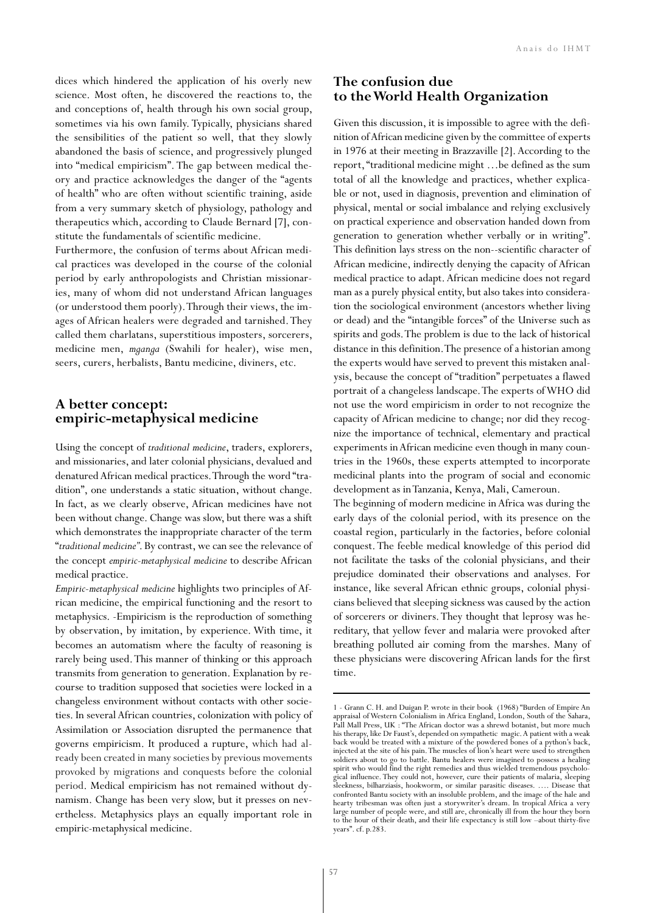dices which hindered the application of his overly new science. Most often, he discovered the reactions to, the and conceptions of, health through his own social group, sometimes via his own family. Typically, physicians shared the sensibilities of the patient so well, that they slowly abandoned the basis of science, and progressively plunged into "medical empiricism". The gap between medical theory and practice acknowledges the danger of the "agents of health" who are often without scientific training, aside from a very summary sketch of physiology, pathology and therapeutics which, according to Claude Bernard [7], constitute the fundamentals of scientific medicine.

Furthermore, the confusion of terms about African medical practices was developed in the course of the colonial period by early anthropologists and Christian missionaries, many of whom did not understand African languages (or understood them poorly). Through their views, the images of African healers were degraded and tarnished. They called them charlatans, superstitious imposters, sorcerers, medicine men, *mganga* (Swahili for healer), wise men, seers, curers, herbalists, Bantu medicine, diviners, etc.

#### **A better concept: empiric-metaphysical medicine**

Using the concept of *traditional medicine*, traders, explorers, and missionaries, and later colonial physicians, devalued and denatured African medical practices. Through the word "tradition", one understands a static situation, without change. In fact, as we clearly observe, African medicines have not been without change. Change was slow, but there was a shift which demonstrates the inappropriate character of the term "*traditional medicine"*. By contrast, we can see the relevance of the concept *empiric-metaphysical medicine* to describe African medical practice.

*Empiric-metaphysical medicine* highlights two principles of African medicine, the empirical functioning and the resort to metaphysics. -Empiricism is the reproduction of something by observation, by imitation, by experience. With time, it becomes an automatism where the faculty of reasoning is rarely being used. This manner of thinking or this approach transmits from generation to generation. Explanation by recourse to tradition supposed that societies were locked in a changeless environment without contacts with other societies. In several African countries, colonization with policy of Assimilation or Association disrupted the permanence that governs empiricism. It produced a rupture, which had already been created in many societies by previous movements provoked by migrations and conquests before the colonial period. Medical empiricism has not remained without dynamism. Change has been very slow, but it presses on nevertheless. Metaphysics plays an equally important role in empiric-metaphysical medicine.

## **The confusion due to the World Health Organization**

Given this discussion, it is impossible to agree with the definition of African medicine given by the committee of experts in 1976 at their meeting in Brazzaville [2]. According to the report, "traditional medicine might …be defined as the sum total of all the knowledge and practices, whether explicable or not, used in diagnosis, prevention and elimination of physical, mental or social imbalance and relying exclusively on practical experience and observation handed down from generation to generation whether verbally or in writing". This definition lays stress on the non--scientific character of African medicine, indirectly denying the capacity of African medical practice to adapt. African medicine does not regard man as a purely physical entity, but also takes into consideration the sociological environment (ancestors whether living or dead) and the "intangible forces" of the Universe such as spirits and gods. The problem is due to the lack of historical distance in this definition. The presence of a historian among the experts would have served to prevent this mistaken analysis, because the concept of "tradition" perpetuates a flawed portrait of a changeless landscape. The experts of WHO did not use the word empiricism in order to not recognize the capacity of African medicine to change; nor did they recognize the importance of technical, elementary and practical experiments in African medicine even though in many countries in the 1960s, these experts attempted to incorporate medicinal plants into the program of social and economic development as in Tanzania, Kenya, Mali, Cameroun.

The beginning of modern medicine in Africa was during the early days of the colonial period, with its presence on the coastal region, particularly in the factories, before colonial conquest. The feeble medical knowledge of this period did not facilitate the tasks of the colonial physicians, and their prejudice dominated their observations and analyses. For instance, like several African ethnic groups, colonial physicians believed that sleeping sickness was caused by the action of sorcerers or diviners. They thought that leprosy was hereditary, that yellow fever and malaria were provoked after breathing polluted air coming from the marshes. Many of these physicians were discovering African lands for the first time.

<sup>1 -</sup> Grann C. H. and Duigan P. wrote in their book (1968) "Burden of Empire An appraisal of Western Colonialism in Africa England, London, South of the Sahara, Pall Mall Press, UK : "The African doctor was a shrewd botanist, but more much his therapy, like Dr Faust's, depended on sympathetic magic. A patient with a weak back would be treated with a mixture of the powdered bones of a python's back, injected at the site of his pain. The muscles of lion's heart were used to strengthen soldiers about to go to battle. Bantu healers were imagined to possess a healing spirit who would find the right remedies and thus wielded tremendous psychological influence. They could not, however, cure their patients of malaria, sleeping sleekness, bilharziasis, hookworm, or similar parasitic diseases. …. Disease that confronted Bantu society with an insoluble problem, and the image of the hale and hearty tribesman was often just a storywriter's dream. In tropical Africa a very large number of people were, and still are, chronically ill from the hour they born to the hour of their death, and their life expectancy is still low –about thirty-five years". cf. p.283.